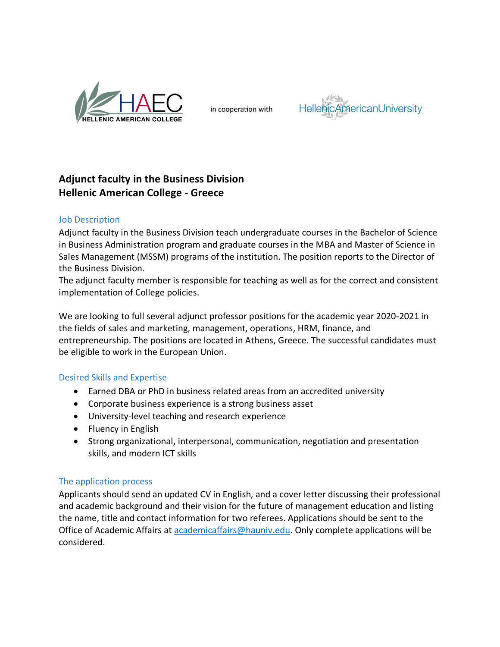

in cooperation with



## **Adjunct faculty in the Business Division Hellenic American College - Greece**

## Job Description

Adjunct faculty in the Business Division teach undergraduate courses in the Bachelor of Science in Business Administration program and graduate courses in the MBA and Master of Science in Sales Management (MSSM) programs of the institution. The position reports to the Director of the Business Division.

The adjunct faculty member is responsible for teaching as well as for the correct and consistent implementation of College policies.

We are looking to full several adjunct professor positions for the academic year 2020-2021 in the fields of sales and marketing, management, operations, HRM, finance, and entrepreneurship. The positions are located in Athens, Greece. The successful candidates must be eligible to work in the European Union.

## Desired Skills and Expertise

- Earned DBA or PhD in business related areas from an accredited university
- Corporate business experience is a strong business asset
- University-level teaching and research experience
- Fluency in English
- Strong organizational, interpersonal, communication, negotiation and presentation skills, and modern ICT skills

## The application process

Applicants should send an updated CV in English, and a cover letter discussing their professional and academic background and their vision for the future of management education and listing the name, title and contact information for two referees. Applications should be sent to the Office of Academic Affairs at [academicaffairs@hauniv.edu.](mailto:academicaffairs@hauniv.edu) Only complete applications will be considered.